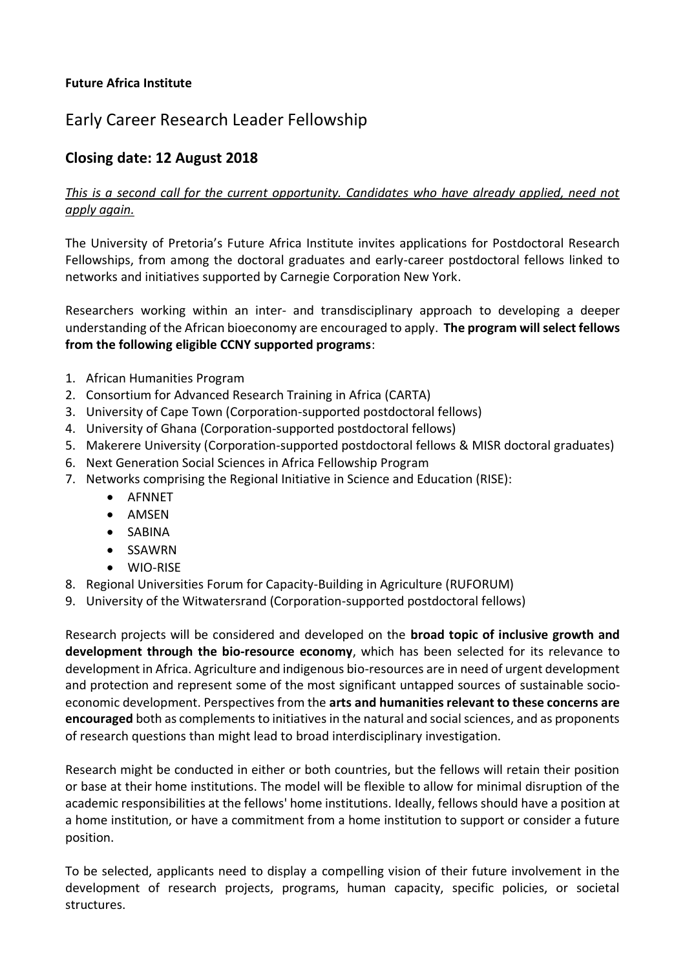# **Future Africa Institute**

# Early Career Research Leader Fellowship

# **Closing date: 12 August 2018**

# *This is a second call for the current opportunity. Candidates who have already applied, need not apply again.*

The University of Pretoria's Future Africa Institute invites applications for Postdoctoral Research Fellowships, from among the doctoral graduates and early-career postdoctoral fellows linked to networks and initiatives supported by Carnegie Corporation New York.

Researchers working within an inter- and transdisciplinary approach to developing a deeper understanding of the African bioeconomy are encouraged to apply. **The program will select fellows from the following eligible CCNY supported programs**:

- 1. African Humanities Program
- 2. Consortium for Advanced Research Training in Africa (CARTA)
- 3. University of Cape Town (Corporation-supported postdoctoral fellows)
- 4. University of Ghana (Corporation-supported postdoctoral fellows)
- 5. Makerere University (Corporation-supported postdoctoral fellows & MISR doctoral graduates)
- 6. Next Generation Social Sciences in Africa Fellowship Program
- 7. Networks comprising the Regional Initiative in Science and Education (RISE):
	- AFNNET
	- AMSEN
	- SABINA
	- SSAWRN
	- WIO-RISE
- 8. Regional Universities Forum for Capacity-Building in Agriculture (RUFORUM)
- 9. University of the Witwatersrand (Corporation-supported postdoctoral fellows)

Research projects will be considered and developed on the **broad topic of inclusive growth and development through the bio-resource economy**, which has been selected for its relevance to development in Africa. Agriculture and indigenous bio-resources are in need of urgent development and protection and represent some of the most significant untapped sources of sustainable socioeconomic development. Perspectives from the **arts and humanities relevant to these concerns are encouraged** both as complements to initiatives in the natural and social sciences, and as proponents of research questions than might lead to broad interdisciplinary investigation.

Research might be conducted in either or both countries, but the fellows will retain their position or base at their home institutions. The model will be flexible to allow for minimal disruption of the academic responsibilities at the fellows' home institutions. Ideally, fellows should have a position at a home institution, or have a commitment from a home institution to support or consider a future position.

To be selected, applicants need to display a compelling vision of their future involvement in the development of research projects, programs, human capacity, specific policies, or societal structures.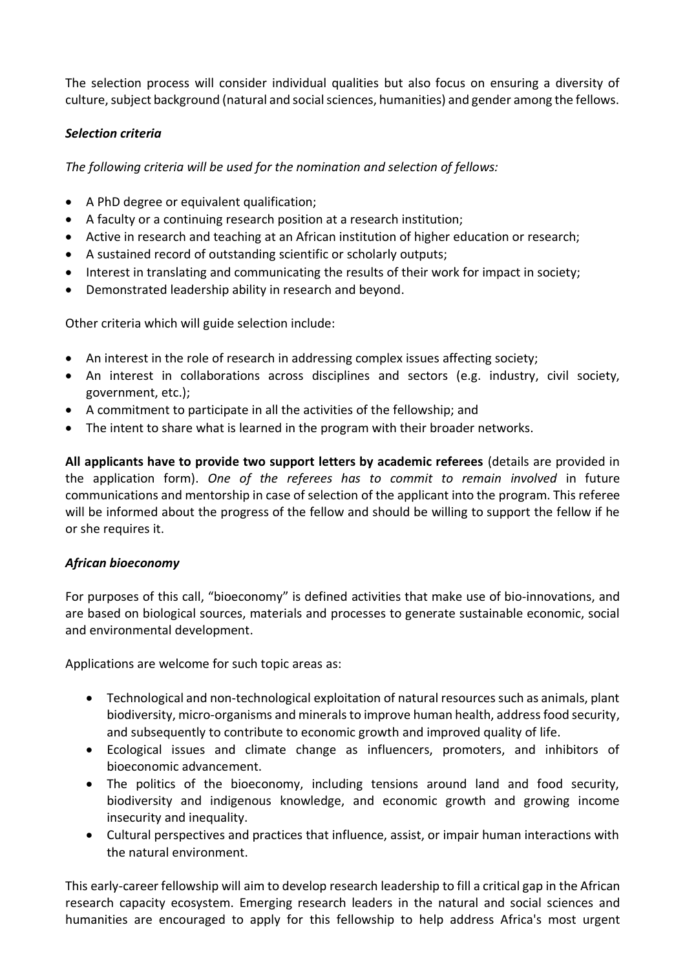The selection process will consider individual qualities but also focus on ensuring a diversity of culture, subject background (natural and social sciences, humanities) and gender among the fellows.

# *Selection criteria*

*The following criteria will be used for the nomination and selection of fellows:*

- A PhD degree or equivalent qualification;
- A faculty or a continuing research position at a research institution;
- Active in research and teaching at an African institution of higher education or research;
- A sustained record of outstanding scientific or scholarly outputs;
- Interest in translating and communicating the results of their work for impact in society;
- Demonstrated leadership ability in research and beyond.

Other criteria which will guide selection include:

- An interest in the role of research in addressing complex issues affecting society;
- An interest in collaborations across disciplines and sectors (e.g. industry, civil society, government, etc.);
- A commitment to participate in all the activities of the fellowship; and
- The intent to share what is learned in the program with their broader networks.

**All applicants have to provide two support letters by academic referees** (details are provided in the application form). *One of the referees has to commit to remain involved* in future communications and mentorship in case of selection of the applicant into the program. This referee will be informed about the progress of the fellow and should be willing to support the fellow if he or she requires it.

#### *African bioeconomy*

For purposes of this call, "bioeconomy" is defined activities that make use of bio-innovations, and are based on biological sources, materials and processes to generate sustainable economic, social and environmental development.

Applications are welcome for such topic areas as:

- Technological and non-technological exploitation of natural resources such as animals, plant biodiversity, micro-organisms and minerals to improve human health, address food security, and subsequently to contribute to economic growth and improved quality of life.
- Ecological issues and climate change as influencers, promoters, and inhibitors of bioeconomic advancement.
- The politics of the bioeconomy, including tensions around land and food security, biodiversity and indigenous knowledge, and economic growth and growing income insecurity and inequality.
- Cultural perspectives and practices that influence, assist, or impair human interactions with the natural environment.

This early-career fellowship will aim to develop research leadership to fill a critical gap in the African research capacity ecosystem. Emerging research leaders in the natural and social sciences and humanities are encouraged to apply for this fellowship to help address Africa's most urgent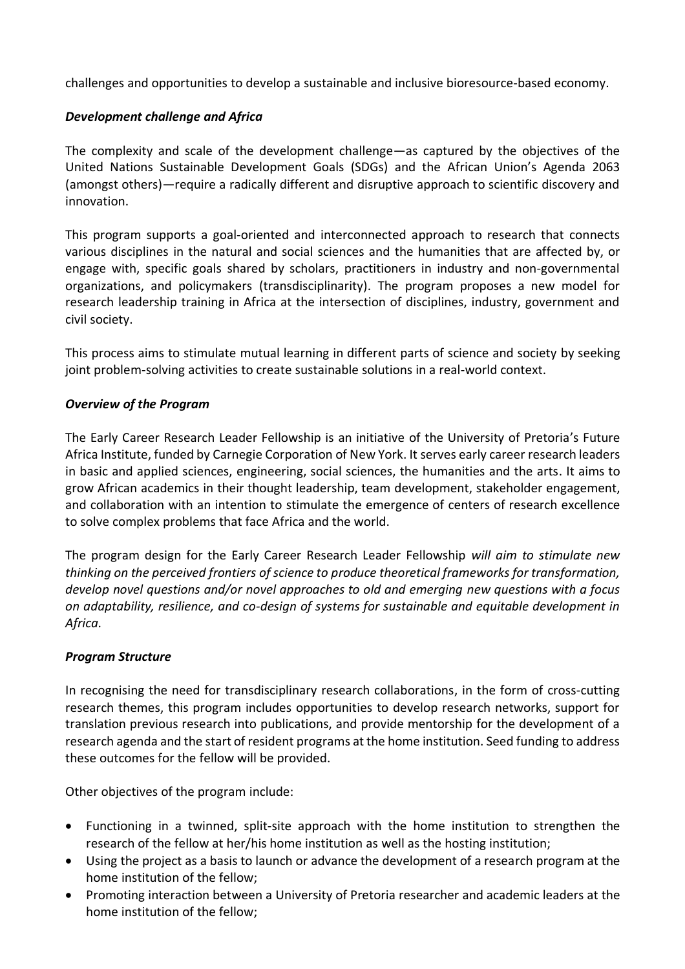challenges and opportunities to develop a sustainable and inclusive bioresource-based economy.

# *Development challenge and Africa*

The complexity and scale of the development challenge—as captured by the objectives of the United Nations Sustainable Development Goals (SDGs) and the African Union's Agenda 2063 (amongst others)—require a radically different and disruptive approach to scientific discovery and innovation.

This program supports a goal-oriented and interconnected approach to research that connects various disciplines in the natural and social sciences and the humanities that are affected by, or engage with, specific goals shared by scholars, practitioners in industry and non-governmental organizations, and policymakers (transdisciplinarity). The program proposes a new model for research leadership training in Africa at the intersection of disciplines, industry, government and civil society.

This process aims to stimulate mutual learning in different parts of science and society by seeking joint problem-solving activities to create sustainable solutions in a real-world context.

#### *Overview of the Program*

The Early Career Research Leader Fellowship is an initiative of the University of Pretoria's Future Africa Institute, funded by Carnegie Corporation of New York. It serves early career research leaders in basic and applied sciences, engineering, social sciences, the humanities and the arts. It aims to grow African academics in their thought leadership, team development, stakeholder engagement, and collaboration with an intention to stimulate the emergence of centers of research excellence to solve complex problems that face Africa and the world.

The program design for the Early Career Research Leader Fellowship *will aim to stimulate new thinking on the perceived frontiers of science to produce theoretical frameworks for transformation, develop novel questions and/or novel approaches to old and emerging new questions with a focus on adaptability, resilience, and co-design of systems for sustainable and equitable development in Africa.*

# *Program Structure*

In recognising the need for transdisciplinary research collaborations, in the form of cross-cutting research themes, this program includes opportunities to develop research networks, support for translation previous research into publications, and provide mentorship for the development of a research agenda and the start of resident programs at the home institution. Seed funding to address these outcomes for the fellow will be provided.

Other objectives of the program include:

- Functioning in a twinned, split-site approach with the home institution to strengthen the research of the fellow at her/his home institution as well as the hosting institution;
- Using the project as a basis to launch or advance the development of a research program at the home institution of the fellow;
- Promoting interaction between a University of Pretoria researcher and academic leaders at the home institution of the fellow;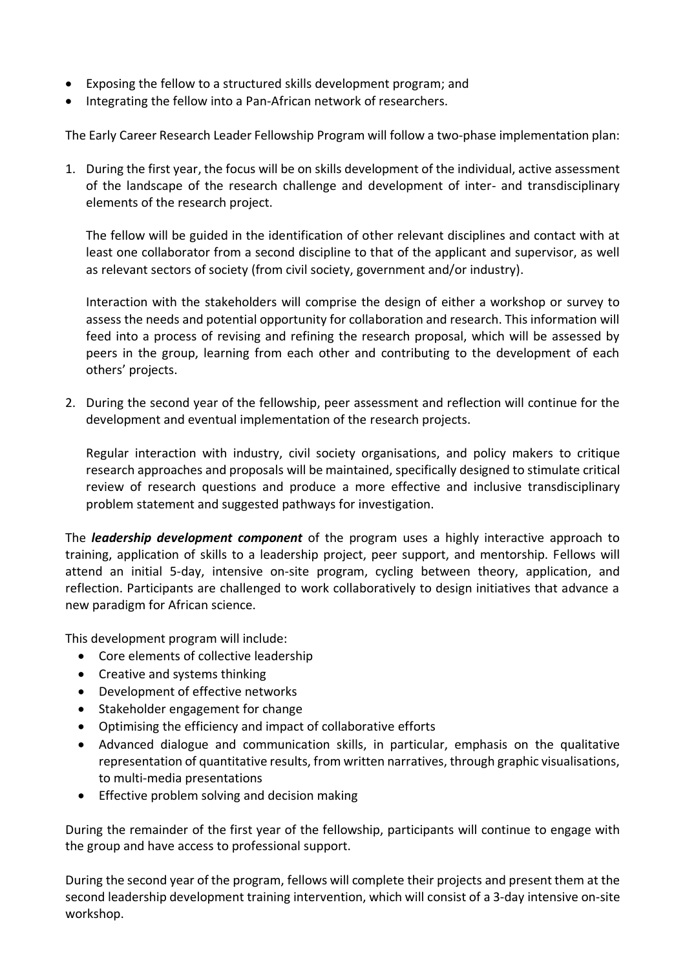- Exposing the fellow to a structured skills development program; and
- Integrating the fellow into a Pan-African network of researchers.

The Early Career Research Leader Fellowship Program will follow a two-phase implementation plan:

1. During the first year, the focus will be on skills development of the individual, active assessment of the landscape of the research challenge and development of inter- and transdisciplinary elements of the research project.

The fellow will be guided in the identification of other relevant disciplines and contact with at least one collaborator from a second discipline to that of the applicant and supervisor, as well as relevant sectors of society (from civil society, government and/or industry).

Interaction with the stakeholders will comprise the design of either a workshop or survey to assess the needs and potential opportunity for collaboration and research. This information will feed into a process of revising and refining the research proposal, which will be assessed by peers in the group, learning from each other and contributing to the development of each others' projects.

2. During the second year of the fellowship, peer assessment and reflection will continue for the development and eventual implementation of the research projects.

Regular interaction with industry, civil society organisations, and policy makers to critique research approaches and proposals will be maintained, specifically designed to stimulate critical review of research questions and produce a more effective and inclusive transdisciplinary problem statement and suggested pathways for investigation.

The *leadership development component* of the program uses a highly interactive approach to training, application of skills to a leadership project, peer support, and mentorship. Fellows will attend an initial 5-day, intensive on-site program, cycling between theory, application, and reflection. Participants are challenged to work collaboratively to design initiatives that advance a new paradigm for African science.

This development program will include:

- Core elements of collective leadership
- Creative and systems thinking
- Development of effective networks
- Stakeholder engagement for change
- Optimising the efficiency and impact of collaborative efforts
- Advanced dialogue and communication skills, in particular, emphasis on the qualitative representation of quantitative results, from written narratives, through graphic visualisations, to multi-media presentations
- Effective problem solving and decision making

During the remainder of the first year of the fellowship, participants will continue to engage with the group and have access to professional support.

During the second year of the program, fellows will complete their projects and present them at the second leadership development training intervention, which will consist of a 3-day intensive on-site workshop.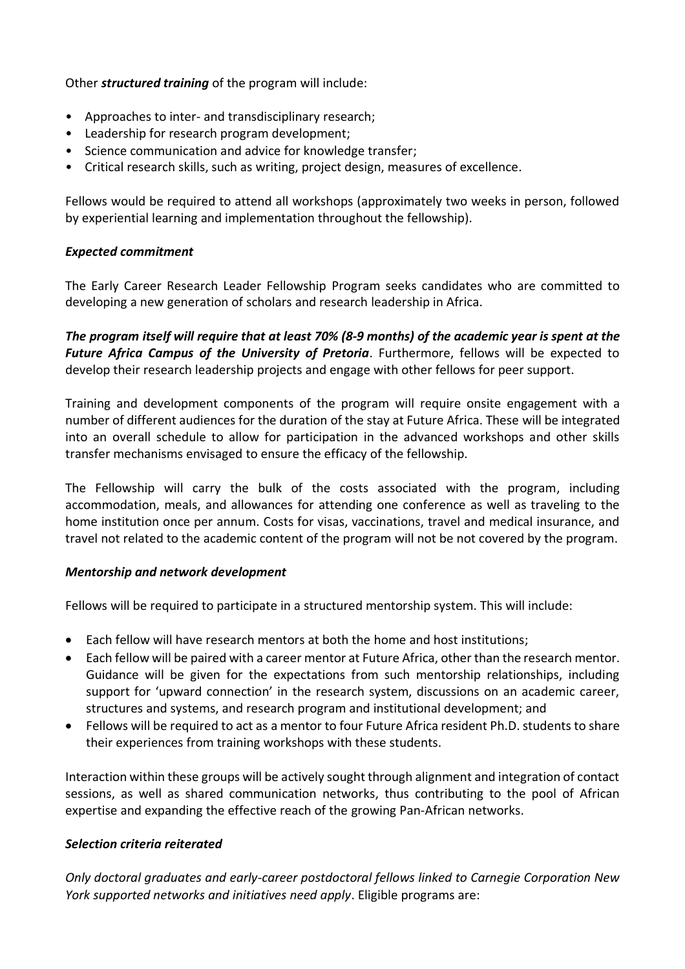# Other *structured training* of the program will include:

- Approaches to inter- and transdisciplinary research;
- Leadership for research program development;
- Science communication and advice for knowledge transfer;
- Critical research skills, such as writing, project design, measures of excellence.

Fellows would be required to attend all workshops (approximately two weeks in person, followed by experiential learning and implementation throughout the fellowship).

#### *Expected commitment*

The Early Career Research Leader Fellowship Program seeks candidates who are committed to developing a new generation of scholars and research leadership in Africa.

*The program itself will require that at least 70% (8-9 months) of the academic year is spent at the Future Africa Campus of the University of Pretoria*. Furthermore, fellows will be expected to develop their research leadership projects and engage with other fellows for peer support.

Training and development components of the program will require onsite engagement with a number of different audiences for the duration of the stay at Future Africa. These will be integrated into an overall schedule to allow for participation in the advanced workshops and other skills transfer mechanisms envisaged to ensure the efficacy of the fellowship.

The Fellowship will carry the bulk of the costs associated with the program, including accommodation, meals, and allowances for attending one conference as well as traveling to the home institution once per annum. Costs for visas, vaccinations, travel and medical insurance, and travel not related to the academic content of the program will not be not covered by the program.

#### *Mentorship and network development*

Fellows will be required to participate in a structured mentorship system. This will include:

- Each fellow will have research mentors at both the home and host institutions;
- Each fellow will be paired with a career mentor at Future Africa, other than the research mentor. Guidance will be given for the expectations from such mentorship relationships, including support for 'upward connection' in the research system, discussions on an academic career, structures and systems, and research program and institutional development; and
- Fellows will be required to act as a mentor to four Future Africa resident Ph.D. students to share their experiences from training workshops with these students.

Interaction within these groups will be actively sought through alignment and integration of contact sessions, as well as shared communication networks, thus contributing to the pool of African expertise and expanding the effective reach of the growing Pan-African networks.

# *Selection criteria reiterated*

*Only doctoral graduates and early-career postdoctoral fellows linked to Carnegie Corporation New York supported networks and initiatives need apply*. Eligible programs are: